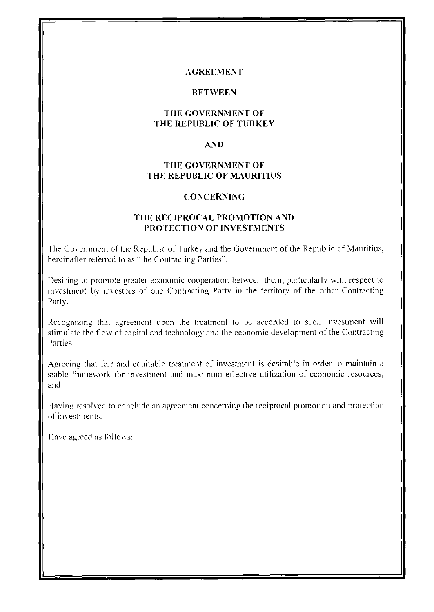#### **AGREF.MENT**

#### **BET\VEEN**

### **THE GOVERNMENT OF THE REPUBLIC OF TURKEY**

#### **AND**

### **THE GOVERNMENT OF THE REPUBLIC OF MAURITIUS**

#### **CONCERNING**

#### **THE RECIPROCAL PROMOTION AND PROTECTION OF INVESTMENTS**

The Government of the Republic of Turkey and the Government of the Republic of Mauritius, hereinafter referred to as "the Contracting Parties";

Desiring to promote greater economic cooperation between them, particularly with respect to investment by investors of one Contracting Party in the territory of the other Contracting Party:

Recognizing that agreement upon the treatment to be accorded to such investment will stimulate the flow of capital and technology and the economic development of the Contracting Parties:

Agreeing that fair and equitable treatment of investment is desirable in order to maintain a stable framework for investment and maximum effective utilization of economic resources; and

Having resolved to conclude an agreement concerning the reciprocal promotion and protection of investments,

Have agreed as follows: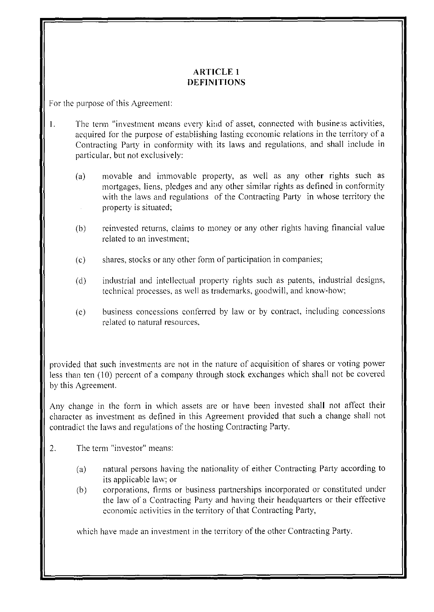# **ARTICLE 1 DEFINITIONS**

For the purpose of this Agreement:

- 1. The term "investment means every kind of asset, connected with business activities, acquired for the purpose of establishing lasting economic relations in the territory of a Contracting Party in conformity with its laws and regulations, and shall include in particular, but not exclusively:
	- (a) movable and immovable property, as well as any other rights such as mortgages, liens, pledges and any other similar rights as defined in conformity with the laws and regulations of the Contracting Party in whose territory the property is situated;
	- (b) reinvested returns, claims to money or any other rights having financial value related to an investment;
	- (c) shares, stocks or any other form of participation in companies;
	- ( d) industrial and intellectual property rights such as patents, industrial designs, technical processes, as well as trademarks, goodwill, and know-how;
	- (e) business concessions conferred by law or by contract, including concessions related to natural resources.

provided that such investments are not in the nature of acquisition of shares or voting power less than ten ( 10) percent of a company through stock exchanges which shall not be covered by this Agreement.

Any change in the form in which assets are or have been invested shall not affect their character as investment as defined in this Agreement provided that such a change shall not contradict the laws and regulations of the hosting Contracting Party.

- 2. The term "investor" means:
	- (a) natural persons having the nationality of either Contracting Party according to its applicable law; or
	- (b) corporations, firms or business partnerships incorporated or constituted under the law of a Contracting Party and having their headquarters or their effective economic activities in the territory of that Contracting Party,

which have made an investment in the territory of the other Contracting Party.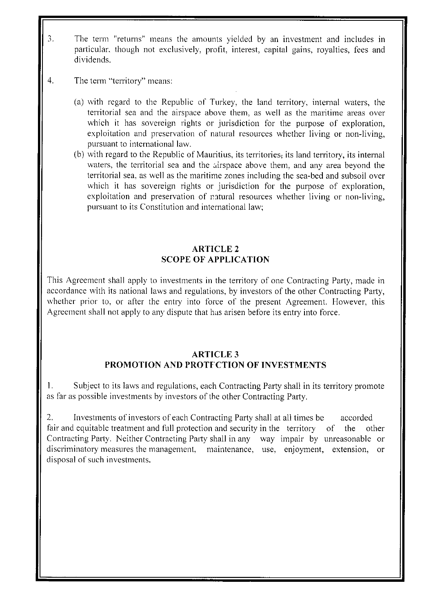- 3. The term "returns" means the amounts yielded by an investment and includes in particular. though not exclusively, profit, interest, capital gains, royalties, fees and dividends.
- 4. The term "territory" means:
	- (a) with regard to the Republic of Turkey, the land territory. internal waters, the territorial sea and the airspace above them, as well as the maritime areas over which it has sovereign rights or jurisdiction for the purpose of exploration, exploitation and preservation of natural resources whether living or non-living, pursuant to international law.
	- (b) with regard to the Republic of Mauritius, its territories, its land territory, its internal waters, the territorial sea and the airspace above them, and any area beyond the territorial sea, as well as the maritime zones including the sea-bed and subsoil over which it has sovereign rights or jurisdiction for the purpose of exploration, exploitation and preservation of natural resources whether living or non-living, pursuant to its Constitution and international law;

# **ARTICLE 2 SCOPE OF APPLICATION**

This Agreement shall apply to investments in the territory of one Contracting Party, made in accordance with its national laws and regulations, by investors of the other Contracting Party, whether prior to, or after the entry into force of the present Agreement. However, this Agreement shall not apply to any dispute that has arisen before its entry into force.

#### **ARTICLE 3 PROMOTION AND PROTFCTION OF INVESTMENTS**

1. Subject to its laws and regulations, each Contracting Party shall in its territory promote as far as possible investments by investors of the other Contracting Party.

2. Investments of investors of each Contracting Party shall at all times be accorded fair and equitable treatment and full protection and security in the territory of the other Contracting Party. Neither Contracting Party shall in any way impair by unreasonable or discriminatory measures the management, maintenance, use, enjoyment, extension, or disposal of such investments.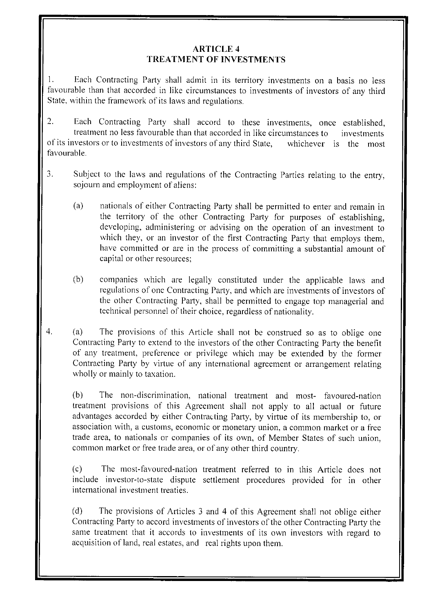### **ARTICLE 4 TREATMENT OF INVESTMENTS**

I. Each Contracting Party shall admit in its territory investments on a basis no less favourable than that accorded in like circumstances to investments of investors of any third State, within the framework of its laws and regulations.

2. Each Contracting Party shall accord to these investments, once established, treatment no less favourable than that accorded in like circumstances to investments of its investors or to investments of investors of any third State, whichever 1s the most favourable.

- 3. Subject to the laws and regulations of the Contracting Parties relating to the entry, sojourn and employment of aliens:
	- (a) nationals of either Contracting Party shall be permitted to enter and remain in the territory of the other Contracting Party for purposes of establishing, developing, administering or advising on the operation of an investment to which they, or an investor of the first Contracting Party that employs them, have committed or are in the process of committing a substantial amount of capital or other resources;
	- (b) companies which are legally constituted under the applicable laws and regulations of one Contracting Party, and which are investments of investors of the other Contracting Party, shall be permitted to engage top managerial and technical personnel of their choice, regardless of nationality.
- 4. (a) The provisions of this Article shall not be construed so as to oblige one Contracting Party to extend to the investors of the other Contracting Party the benefit of any treatment, preference or privilege which may be extended by the former Contracting Party by virtue of any international agreement or arrangement relating wholly or mainly to taxation.

(b) The non-discrimination, national treatment and most- favoured-nation treatment provisions of this Agreement shall not apply to all actual or future advantages accorded by either Contracting Party, by virtue of its membership to, or association with, a customs, economic or monetary union, a common market or a free trade area, to nationals or companies of its own, of Member States of such union, common market or free trade area, or of any other third country.

(c) The most-favoured-nation treatment referred to in this Article does not include investor-to-state dispute settlement procedures provided for in other international investment treaties.

(d) The provisions of Articles 3 and 4 of this Agreement shall not oblige either Contracting Party to accord investments of investors of the other Contracting Party the same treatment that it accords to investments of its own investors with regard to acquisition of land, real estates, and real rights upon them.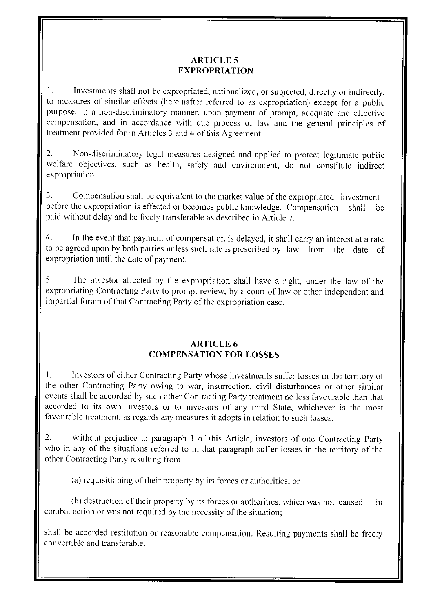# **ARTICLE 5 EXPROPRIATION**

1. Investments shall not be expropriated, nationalized, or subjected, directly or indirectly, to measures of similar effects (hereinatier referred to as expropriation) except for a public purpose, in a non-discriminatory manner, upon payment of prompt, adequate and effective compensation, and in accordance with due process of law and the general principles of treatment provided for in Articles 3 and 4 of this Agreement.

2. Non-discriminatory legal measures designed and applied to protect legitimate public welfare objectives, such as health, safety and environment, do not constitute indirect expropriation.

3. Compensation shall be equivalent to the market value of the expropriated investment before the expropriation is effected or becomes public knowledge. Compensation shall be paid without delay and be freely transferable as described in Article 7.

4. In the event that payment of compensation is delayed, it shall carry an interest at a rate to be agreed upon by both parties unless such rate is prescribed by law from the date of expropriation until the date of payment.

5. The investor affected by the expropriation shall have a right, under the law of the expropriating Contracting Party to prompt review, by a court of law or other independent and impartial forum of that Contracting Party of the expropriation case.

# **ARTICLE 6 COMPENSATION FOR LOSSES**

1. Investors of either Contracting Party whose investments suffer losses in the territory of the other Contracting Party owing to war, insurrection, civil disturbances or other similar events shall be accorded by such other Contracting Party treatment no less favourable than that accorded to its own investors or to investors of any third State, whichever is the most favourable treatment. as regards any measures it adopts in relation to such losses.

2. Without prejudice to paragraph 1 of this Article, investors of one Contracting Party who in any of the situations referred to in that paragraph suffer losses in the territory of the other Contracting Party resulting from:

(a) requisitioning of their property by its forces or authorities; or

(b) destruction of their property by its forces or authorities, which was not caused in combat action or was not required by the necessity of the situation;

shall be accorded restitution or reasonable compensation. Resulting payments shall be freely convertible and transferable.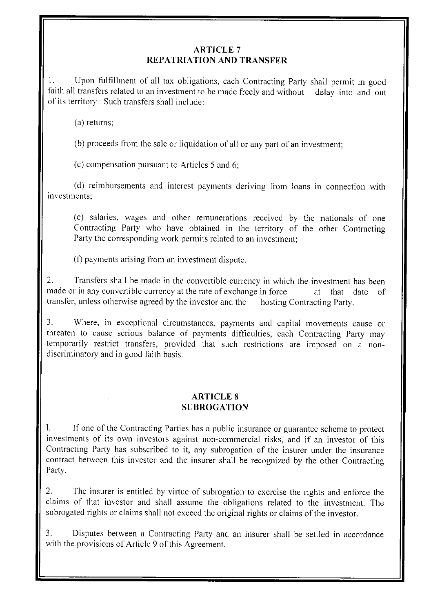# **ARTICLE** 7 **REPATRIATION AND TRANSFER**

1. Upon fulfillment of all tax obligations, each Contracting Party shall permit in good faith all transfers related to an investment to be made freely and without delay into and out of its territory. Such transfers shall include:

(a) returns;

(b) proceeds from the sale or liquidation of all or any part of an investment;

( c) compensation pursuant to Articles 5 and 6;

(d) reimbursements and interest payments deriving from loans in connection with investments;

(e) salaries, wages and other remunerations received by the nationals of one Contracting Party who have obtained in the territory of the other Contracting Party the corresponding work permits related to an investment;

(t) payments arising from an investment dispute.

2. Transfers shall be made in the convertible currency in which the investment has been made or in any convertible currency at the rate of exchange in force at that date of transfer, unless otherwise agreed by the investor and the hosting Contracting Party.

3. Where, in exceptional circumstances, payments and capital movements cause or threaten to cause serious balance of payments difficulties, each Contracting Party may temporarily restrict transfers, provided that such restrictions are imposed on a nondiscriminatory and in good faith basis.

#### **ARTICLE 8 SUBROGATION**

I. If one of the Contracting Parties has a public insurance or guarantee scheme to protect investments of its own investors against non-commercial risks, and if an investor of this Contracting Party has subscribed to it, any subrogation of the insurer under the insurance contract between this investor and the insurer shall be recognized by the other Contracting Party.

2. The insurer is entitled by virtue of subrogation to exercise the rights and enforce the claims of that investor and shall assume the obligations related to the investment. The subrogated rights or claims shall not exceed the original rights or claims of the investor.

3. Disputes between a Contracting Party and an insurer shall be settled in accordance with the provisions of Article 9 of this Agreement.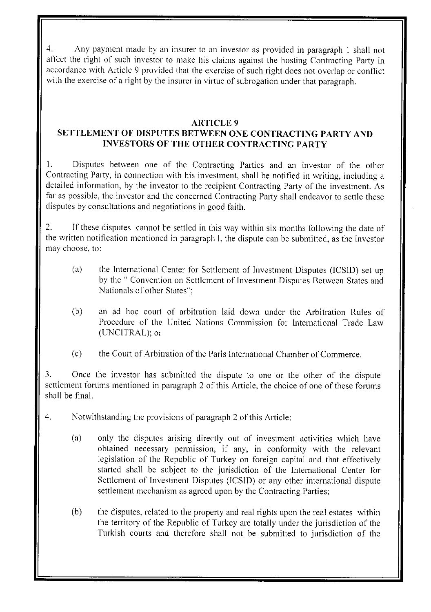4. Any payment made by an insurer to an investor as provided in paragraph I shall not affect the right of such investor to make his claims against the hosting Contracting Party in accordance with Article 9 provided that the exercise of such right does not overlap or conflict with the exercise of a right by the insurer in virtue of subrogation under that paragraph.

### **ARTICLE 9**

# **SETTLEMENT OF DISPUTES BETWEEN ONE CONTRACTING PARTY AND INVESTORS OF THE OTHER CONTRACTING PARTY**

I. Disputes between one of the Contracting Parties and an investor of the other Contracting Party, in connection with his investment, shall be notified in writing, including a detailed information, by the investor to the recipient Contracting Party of the investment. As far as possible, the investor and the concerned Contracting Party shall endeavor to settle these disputes by consultations and negotiations in good faith.

2. If these disputes cannot be settled in this way within six months following the date of the written notification mentioned in paragraph !, the dispute can be submitted, as the investor may choose, to:

- (a) the International Center for Set'lement of Investment Disputes (ICSID) set up by the " Convention on Settlement of Investment Disputes Between States and Nationals of other States";
- (b) an ad hoc court of arbitration laid down under the Arbitration Rules of Procedure of the United Nations Commission for International Trade Law (UNCITRAL); or
- (c) the Court of Arbitration of the Paris International Chamber of Commerce.

3. Once the investor has submitted the dispute to one or the other of the dispute settlement forums mentioned in paragraph 2 of this Article, the choice of one of these forums shall be final.

- 4. Notwithstanding the provisions of paragraph 2 of this Article:
	- (a) only the disputes arising directly out of investment activities which have obtained necessary permission, if any, in conformity with the relevant legislation of the Republic of Turkey on foreign capital and that effectively started shall be subject to the jurisdiction of the International Center for Settlement of Investment Disputes (ICSID) or any other international dispute settlement mechanism as agreed upon by the Contracting Parties;
	- (b) the disputes, related to the property and real rights upon the real estates within the territory of the Republic of Turkey are totally under the jurisdiction of the Turkish courts and therefore shall not be submitted to jurisdiction of the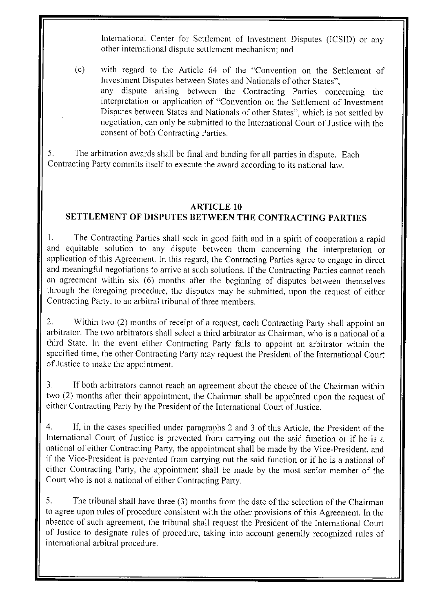International Center for Settlement of Investment Disputes (ICSID) or any other international dispute settlement mechanism; and

(c) with regard to the Article 64 of the "Convention on the Settlement of Investment Disputes between States and Nationals of other States", any dispute arising between the Contracting Parties concerning the interpretation or application of "Convention on the Settlement of Investment Disputes between States and Nationals of other States", which is not settled by negotiation, can only be submitted to the International Court of Justice with the consent of both Contracting Parties.

5. The arbitration awards shall be final and binding for all parties in dispute. Each Contracting Party commits itself to execute the award according to its national law.

# **ARTICLE 10**

# **SETTLEMENT OF DISPUTES BETWEEN THE CONTRACTING PARTIES**

1. The Contracting Parties shall seek in good faith and in a spirit of cooperation a rapid and equitable solution to any dispute between them concerning the interpretation or application of this Agreement. In this regard, the Contracting Parties agree to engage in direct and meaningful negotiations to arrive at such solutions. If the Contracting Parties cannot reach an agreement within six (6) months after the beginning of disputes between themselves through the foregoing procedure, the disputes may be submitted, upon the request of either Contracting Party. to an arbitral tribunal of three members.

2. Within two (2) months of receipt of a request, each Contracting Party shall appoint an arbitrator. The two arbitrators shall select a third arbitrator as Chairman, who is a national of a third State. In the event either Contracting Party fails to appoint an arbitrator within the specified time, the other Contracting Party may request the President of the International Court of Justice to make the appointment.

3. If both arbitrators cannot reach an agreement about the choice of the Chairman within two (2) months after their appointment, the Chairman shall be appointed upon the request of either Contracting Party by the President of the International Court of Justice.

4. If, in the cases specified under paragraphs 2 and 3 of this Article, the President of the International Court of Justice is prevented from carrying out the said function or if he is a national of either Contracting Party, the appointment shall be made by the Vice-President, and if the Vice-President is prevented from carrying out the said function or if he is a national of either Contracting Party, the appointment shall be made by the most senior member of the Court who is not a national of either Contracting Party.

5. The tribunal shall have three (3) months from the date of the selection of the Chairman to agree upon rules of procedure consistent with the other provisions of this Agreement. In the absence of such agreement, the tribunal shall request the President of the International Court of Justice to designate rules of procedure, taking into account generally recognized rules of international arbitral procedure.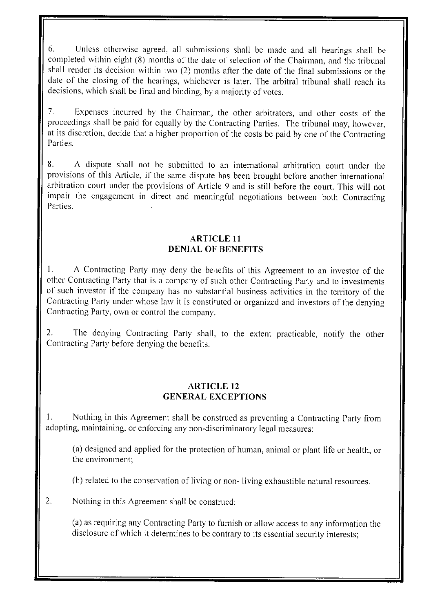6. Unless otherwise agreed. all submissions shall be made and all hearings shall be completed within eight (8) months of the date of selection of the Chairman, and the tribunal shall render its decision within two (2) montlis after the date of the final submissions or the date of the closing of the hearings, whichever is later. The arbitral tribunal shall reach its decisions, which shall be final and binding, by a majority of votes.

7. Expenses incurred by the Chairman, the other arbitrators, and other costs of the proceedings shall be paid for equally by the Contracting Parties. The tribunal may, however, at its discretion, decide that a higher proportion of the costs be paid by one of the Contracting Parties.

8. A dispute shall not be submitted to an international arbitration court under the provisions of this Article, if the same dispute has been brought before another international arbitration court under the provisions of Article 9 and is still before the court. This will not impair the engagement in direct and meaningful negotiations between both Contracting Parties.

### **ARTICLE 11 DENIAL OF BENEFITS**

I. A Contracting Party may deny the be-1efits of this Agreement to an investor of the other Contracting Party that is a company of such other Contracting Party and to investments of such investor if the company has no substantial business activities in the territory of the Contracting Party under whose law it is constituted or organized and investors of the denying Contracting Party. own or control the company.

2. The denying Contracting Party shall, to the extent practicable, notify the other Contracting Party before denying the benefits.

#### **ARTICLE 12 GENERAL EXCEPTIONS**

I. Nothing in this Agreement shall be construed as preventing a Contracting Party from adopting, maintaining, or enforcing any non-discriminatory legal measures:

(a) designed and applied for the protection of human, animal or plant life or health, or the environment;

(b) related to the conservation of living or non- living exhaustible natural resources.

2. Nothing in this Agreement shall be construed:

(a) as requiring any Contracting Party to furnish or allow access to any information the disclosure of which it determines to be contrary to its essential security interests;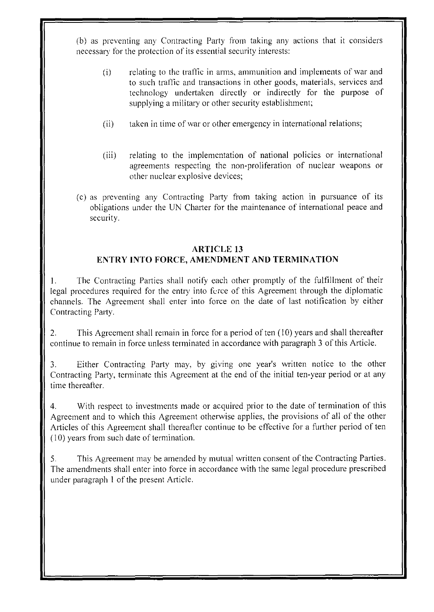(b) as preventing any Contracting Party from taking any actions that it considers necessary for the protection of its essential security interests:

- (i) relating to the traffic in arms, ammunition and implements of war and to such trafiic and transactions in other goods, materials, services and technology undertaken directly or indirectly for the purpose of supplying a military or other security establishment;
- (ii) taken in time of war or other emergency in international relations;
- (iii) relating to the implementation of national policies or international agreements respecting the non-proliferation of nuclear weapons or other nuclear explosive devices;
- ( c) as preventing any Contracting Party from taking action in pursuance of its obligations under the UN Charter for the maintenance of international peace and security.

# **ARTICLE 13 ENTRY INTO FORCE, AMENDMENT AND TERMINATION**

I. The Contracting Parties shall notify each other promptly of the fulfillment of their legal procedures required for the entry into force of this Agreement through the diplomatic channels. The Agreement shall enter into force on the date of last notification by either Contracting Party.

2. This Agreement shall remain in force for a period of ten (10) years and shall thereafter continue to remain in force unless terminated in accordance with paragraph 3 of this Article.

3. Either Contracting Party may, by giving one year's written notice to the other Contracting Party, terminate this Agreement at the end of the initial ten-year period or at any time thereafter.

4. With respect to investments made or acquired prior to the date of termination of this Agreement and to which this Agreement otherwise applies, the provisions of all of the other Articles of this Agreement shall thereafter continue to be effective for a further period of ten  $(10)$  years from such date of termination.

5. This Agreement may be amended by mutual written consent of the Contracting Parties. The amendments shall enter into force in accordance with the same legal procedure prescribed under paragraph I of the present Article.